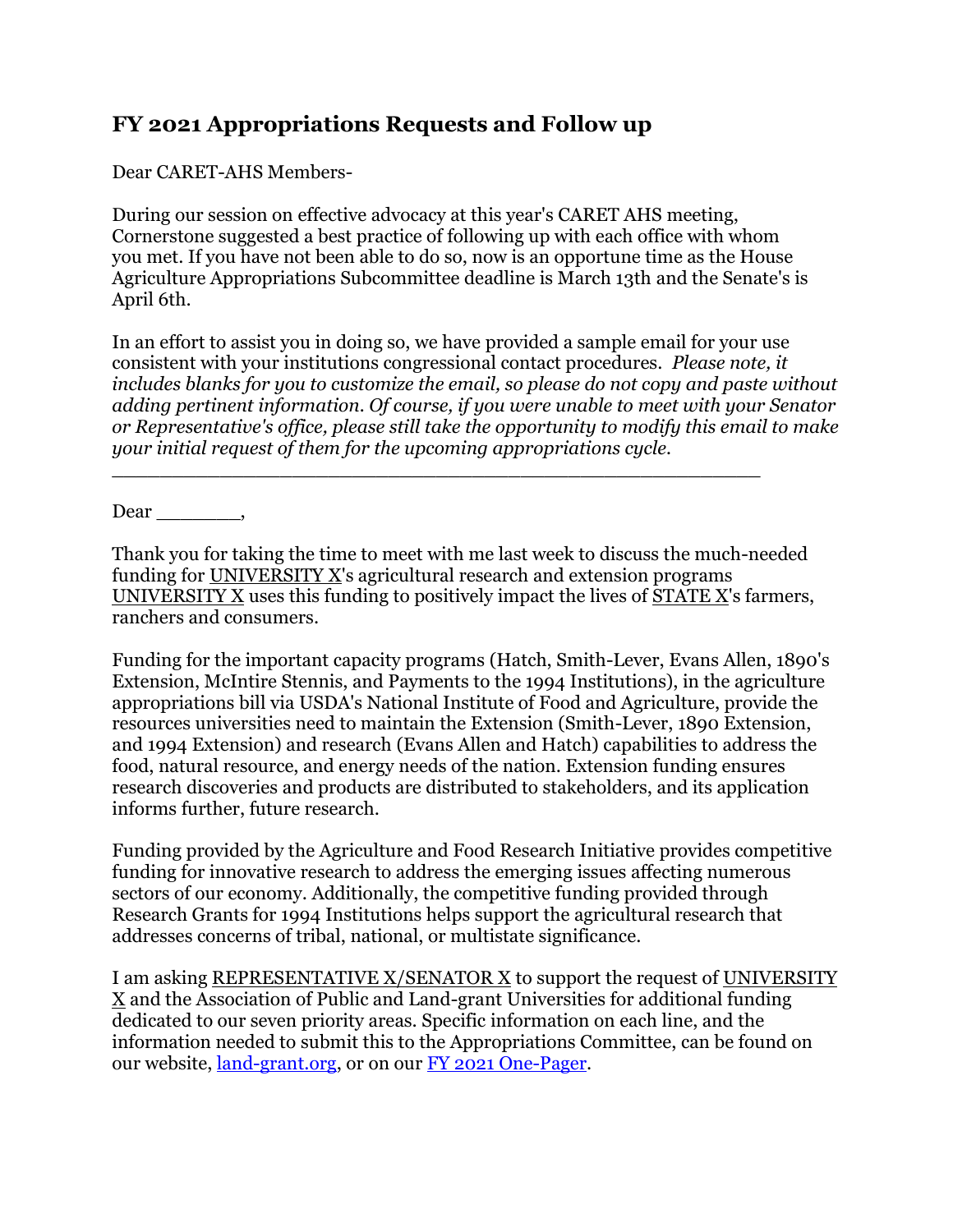## **FY 2021 Appropriations Requests and Follow up**

Dear CARET-AHS Members-

During our session on effective advocacy at this year's CARET AHS meeting, Cornerstone suggested a best practice of following up with each office with whom you met. If you have not been able to do so, now is an opportune time as the House Agriculture Appropriations Subcommittee deadline is March 13th and the Senate's is April 6th.

In an effort to assist you in doing so, we have provided a sample email for your use consistent with your institutions congressional contact procedures. *Please note, it includes blanks for you to customize the email, so please do not copy and paste without adding pertinent information. Of course, if you were unable to meet with your Senator or Representative's office, please still take the opportunity to modify this email to make your initial request of them for the upcoming appropriations cycle.*

 $Dear \_\_\_\_\_\$ 

Thank you for taking the time to meet with me last week to discuss the much-needed funding for UNIVERSITY X's agricultural research and extension programs UNIVERSITY X uses this funding to positively impact the lives of STATE X's farmers, ranchers and consumers.

\_\_\_\_\_\_\_\_\_\_\_\_\_\_\_\_\_\_\_\_\_\_\_\_\_\_\_\_\_\_\_\_\_\_\_\_\_\_\_\_\_\_\_\_\_\_\_\_\_\_\_\_\_\_

Funding for the important capacity programs (Hatch, Smith-Lever, Evans Allen, 1890's Extension, McIntire Stennis, and Payments to the 1994 Institutions), in the agriculture appropriations bill via USDA's National Institute of Food and Agriculture, provide the resources universities need to maintain the Extension (Smith-Lever, 1890 Extension, and 1994 Extension) and research (Evans Allen and Hatch) capabilities to address the food, natural resource, and energy needs of the nation. Extension funding ensures research discoveries and products are distributed to stakeholders, and its application informs further, future research.

Funding provided by the Agriculture and Food Research Initiative provides competitive funding for innovative research to address the emerging issues affecting numerous sectors of our economy. Additionally, the competitive funding provided through Research Grants for 1994 Institutions helps support the agricultural research that addresses concerns of tribal, national, or multistate significance.

I am asking REPRESENTATIVE X/SENATOR X to support the request of UNIVERSITY  $\underline{X}$  and the Association of Public and Land-grant Universities for additional funding dedicated to our seven priority areas. Specific information on each line, and the information needed to submit this to the Appropriations Committee, can be found on our website, [land-grant.org,](http://r20.rs6.net/tn.jsp?f=001k4HEkOk3o925IYOF6Tu5mJMhD_JBvqUvfQEEXr1Grne083fiyNy8b0CCCPZwYmScgOrsDzcySJaChJBo4t7Npkoer-zr97tweUFp9OT7aCDjaTZYgVtvcgdW8T2Zw-zBpZ5jsf9sAZz8ozF3o6kGEpuSvvR3BVtwGcGMLQ_Rx3k=&c=XDJdHFsi0SKtl5IUPEsLPDGtQtncat9xmoqcFTM6TGmxJEG0F4_0lA==&ch=zqelKkEanXjCtF7GRPkkMOBqlsh-fGnFLTa_HTSVrAcwxsBkexgThQ==) or on our [FY 2021 One-Pager.](http://r20.rs6.net/tn.jsp?f=001k4HEkOk3o925IYOF6Tu5mJMhD_JBvqUvfQEEXr1Grne083fiyNy8b0CCCPZwYmScMy2RvywOxGrvWZ3o2PL4IrZMamxEskdo2G9TgwpjCC3p620DNcwW3uQio-N2zyv-MkJECGFXr2qeijHNSB7I_-s6Q8uy8VLgUY4O8YAWvFULm2BqnAyi4XPSEzFRytEchCQQieJSJytGZPV7ue6RSluRDvonGsM4mFUhxJbCB2siQP2ghP-oaKDWZnmdHrn1EQJospx6odowA6ceKsqR9xWENfnD0jGb&c=XDJdHFsi0SKtl5IUPEsLPDGtQtncat9xmoqcFTM6TGmxJEG0F4_0lA==&ch=zqelKkEanXjCtF7GRPkkMOBqlsh-fGnFLTa_HTSVrAcwxsBkexgThQ==)